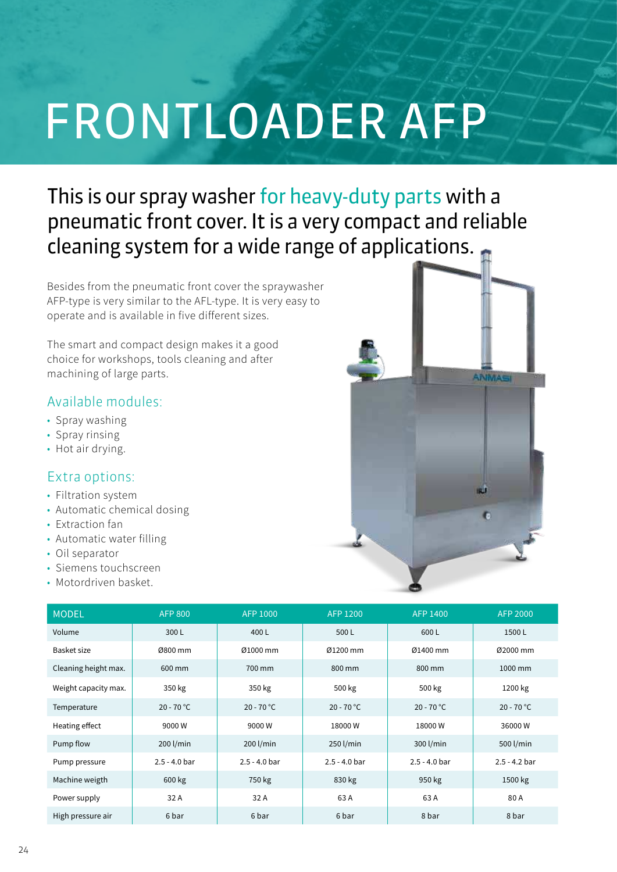# FRONTLOADER AFP

# This is our spray washer for heavy-duty parts with a pneumatic front cover. It is a very compact and reliable cleaning system for a wide range of applications.

Besides from the pneumatic front cover the spraywasher AFP-type is very similar to the AFL-type. It is very easy to operate and is available in five different sizes.

The smart and compact design makes it a good choice for workshops, tools cleaning and after machining of large parts.

## Available modules:

- Spray washing
- Spray rinsing
- Hot air drying.

### Extra options:

- Filtration system
- Automatic chemical dosing
- Extraction fan
- Automatic water filling
- Oil separator
- Siemens touchscreen
- Motordriven basket.



| <b>MODEL</b>         | <b>AFP 800</b>  | <b>AFP 1000</b> | AFP 1200        | AFP 1400        | <b>AFP 2000</b> |
|----------------------|-----------------|-----------------|-----------------|-----------------|-----------------|
| Volume               | 300L            | 400L            | 500L            | 600L            | 1500L           |
| Basket size          | Ø800 mm         | Ø1000 mm        | Ø1200 mm        | Ø1400 mm        | Ø2000 mm        |
| Cleaning height max. | 600 mm          | 700 mm          | 800 mm          | 800 mm          | 1000 mm         |
| Weight capacity max. | 350 kg          | 350 kg          | 500 kg          | 500 kg          | 1200 kg         |
| Temperature          | $20 - 70 °C$    | $20 - 70 °C$    | $20 - 70 °C$    | $20 - 70 °C$    | $20 - 70 °C$    |
| Heating effect       | 9000W           | 9000W           | 18000W          | 18000W          | 36000W          |
| Pump flow            | 200 l/min       | 200 l/min       | 250 l/min       | 300 l/min       | 500 l/min       |
| Pump pressure        | $2.5 - 4.0$ bar | $2.5 - 4.0$ bar | $2.5 - 4.0$ bar | $2.5 - 4.0$ bar | $2.5 - 4.2$ bar |
| Machine weigth       | 600 kg          | 750 kg          | 830 kg          | 950 kg          | 1500 kg         |
| Power supply         | 32 A            | 32 A            | 63 A            | 63 A            | 80 A            |
| High pressure air    | 6 bar           | 6 bar           | 6 bar           | 8 bar           | 8 bar           |